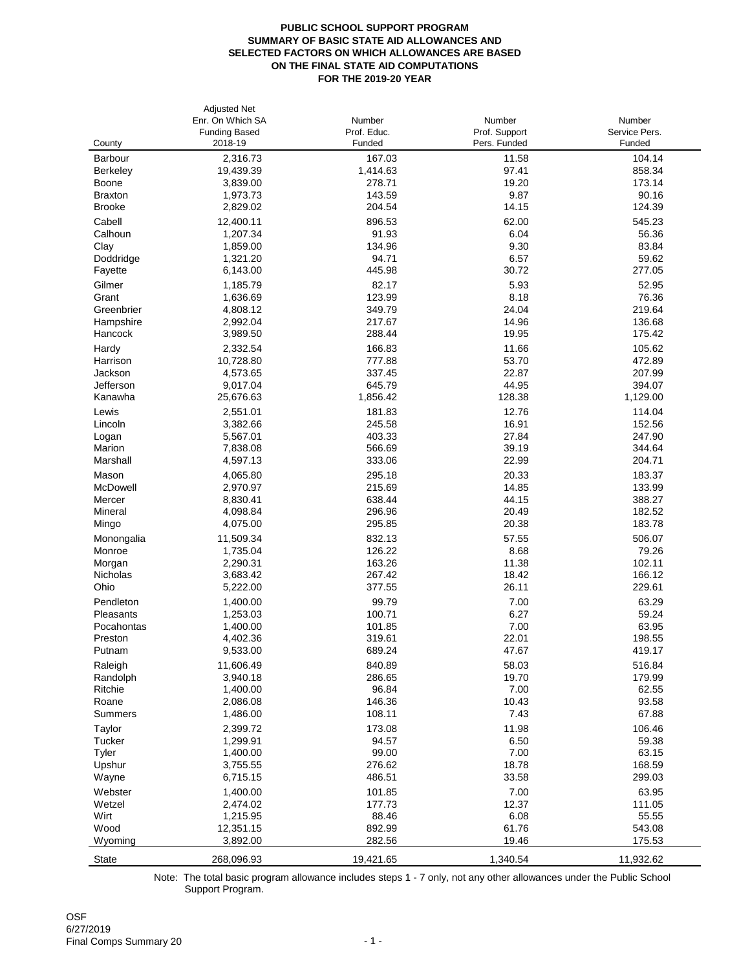## **PUBLIC SCHOOL SUPPORT PROGRAM SUMMARY OF BASIC STATE AID ALLOWANCES AND SELECTED FACTORS ON WHICH ALLOWANCES ARE BASED ON THE FINAL STATE AID COMPUTATIONS FOR THE 2019-20 YEAR**

6/27/2019 Final Comps Summary 20 **Final Comps Summary 20**  $\cdot$  1 -

|                 | <b>Adjusted Net</b>  |             |               |               |
|-----------------|----------------------|-------------|---------------|---------------|
|                 | Enr. On Which SA     | Number      | Number        | Number        |
|                 | <b>Funding Based</b> | Prof. Educ. | Prof. Support | Service Pers. |
| County          | 2018-19              | Funded      | Pers. Funded  | Funded        |
| <b>Barbour</b>  | 2,316.73             | 167.03      | 11.58         | 104.14        |
| <b>Berkeley</b> | 19,439.39            | 1,414.63    | 97.41         | 858.34        |
| <b>Boone</b>    | 3,839.00             | 278.71      | 19.20         | 173.14        |
| <b>Braxton</b>  | 1,973.73             | 143.59      | 9.87          | 90.16         |
| <b>Brooke</b>   | 2,829.02             | 204.54      | 14.15         | 124.39        |
| Cabell          | 12,400.11            | 896.53      | 62.00         | 545.23        |
| Calhoun         | 1,207.34             | 91.93       | 6.04          | 56.36         |
| Clay            | 1,859.00             | 134.96      | 9.30          | 83.84         |
| Doddridge       | 1,321.20             | 94.71       | 6.57          | 59.62         |
|                 |                      |             |               |               |
| Fayette         | 6,143.00             | 445.98      | 30.72         | 277.05        |
| Gilmer          | 1,185.79             | 82.17       | 5.93          | 52.95         |
| Grant           | 1,636.69             | 123.99      | 8.18          | 76.36         |
| Greenbrier      | 4,808.12             | 349.79      | 24.04         | 219.64        |
| Hampshire       | 2,992.04             | 217.67      | 14.96         | 136.68        |
| <b>Hancock</b>  | 3,989.50             | 288.44      | 19.95         | 175.42        |
| Hardy           | 2,332.54             | 166.83      | 11.66         | 105.62        |
| Harrison        | 10,728.80            | 777.88      | 53.70         | 472.89        |
| Jackson         | 4,573.65             | 337.45      | 22.87         | 207.99        |
| Jefferson       | 9,017.04             | 645.79      | 44.95         | 394.07        |
| Kanawha         | 25,676.63            | 1,856.42    | 128.38        | 1,129.00      |
| Lewis           | 2,551.01             | 181.83      | 12.76         | 114.04        |
| Lincoln         | 3,382.66             | 245.58      | 16.91         | 152.56        |
|                 | 5,567.01             | 403.33      | 27.84         | 247.90        |
| Logan<br>Marion | 7,838.08             | 566.69      | 39.19         | 344.64        |
| Marshall        |                      |             |               | 204.71        |
|                 | 4,597.13             | 333.06      | 22.99         |               |
| Mason           | 4,065.80             | 295.18      | 20.33         | 183.37        |
| McDowell        | 2,970.97             | 215.69      | 14.85         | 133.99        |
| Mercer          | 8,830.41             | 638.44      | 44.15         | 388.27        |
| Mineral         | 4,098.84             | 296.96      | 20.49         | 182.52        |
| Mingo           | 4,075.00             | 295.85      | 20.38         | 183.78        |
| Monongalia      | 11,509.34            | 832.13      | 57.55         | 506.07        |
| Monroe          | 1,735.04             | 126.22      | 8.68          | 79.26         |
| Morgan          | 2,290.31             | 163.26      | 11.38         | 102.11        |
| Nicholas        | 3,683.42             | 267.42      | 18.42         | 166.12        |
| Ohio            | 5,222.00             | 377.55      | 26.11         | 229.61        |
| Pendleton       | 1,400.00             | 99.79       | 7.00          | 63.29         |
| Pleasants       | 1,253.03             | 100.71      | 6.27          | 59.24         |
| Pocahontas      | 1,400.00             | 101.85      | 7.00          | 63.95         |
| Preston         | 4,402.36             | 319.61      | 22.01         | 198.55        |
| Putnam          | 9,533.00             | 689.24      | 47.67         | 419.17        |
|                 |                      |             |               |               |
| Raleigh         | 11,606.49            | 840.89      | 58.03         | 516.84        |
| Randolph        | 3,940.18             | 286.65      | 19.70         | 179.99        |
| Ritchie         | 1,400.00             | 96.84       | 7.00          | 62.55         |
| Roane           | 2,086.08             | 146.36      | 10.43         | 93.58         |
| <b>Summers</b>  | 1,486.00             | 108.11      | 7.43          | 67.88         |
| Taylor          | 2,399.72             | 173.08      | 11.98         | 106.46        |
| <b>Tucker</b>   | 1,299.91             | 94.57       | 6.50          | 59.38         |
| <b>Tyler</b>    | 1,400.00             | 99.00       | 7.00          | 63.15         |
| Upshur          | 3,755.55             | 276.62      | 18.78         | 168.59        |
| Wayne           | 6,715.15             | 486.51      | 33.58         | 299.03        |
| Webster         | 1,400.00             | 101.85      | 7.00          | 63.95         |
| Wetzel          | 2,474.02             | 177.73      | 12.37         | 111.05        |
| Wirt            | 1,215.95             | 88.46       | 6.08          | 55.55         |
| Wood            | 12,351.15            | 892.99      | 61.76         | 543.08        |
| Wyoming         | 3,892.00             | 282.56      | 19.46         | 175.53        |
| <b>State</b>    | 268,096.93           | 19,421.65   | 1,340.54      | 11,932.62     |
|                 |                      |             |               |               |

Note: The total basic program allowance includes steps 1 - 7 only, not any other allowances under the Public School Support Program.

OSF